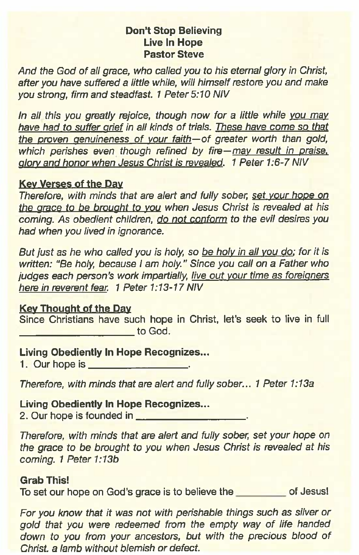## Don't Stop Believing Live In Hope Pastor Steve

And the God of all grace, who called you to his eternal glory in Christ, after you have suffered a little while, will himself restore you and make you strong, firm and steadfast. I Peter 5:10 NIV

In all this you greatly rejoice, though now for a little while you may have had to suffer grief in all kinds of trials. These have come so that the proven genuineness of your faith—of greater worth than gold, which perishes even though refined by fire—may result in praise, <sup>g</sup>lory and honor when Jesus Christ is revealed. <sup>1</sup> Peter 1:6-7 NIV **Don't Stop Believing**<br>
Live In Hope<br>
Pastor Steve<br>
And the God of all grace, who called you to his eternal glory in Christ,<br>
after you have suffered a little while, will himself restore you and make<br>
you strong, firm and **Don't Stop Berow Theory of Stop Bero Consumers (State State State State State State State State State State State State State State State State State State State State State State State State State State State State State** Don't Stop Believing<br>
Live In Hope<br>
Pastor Steve<br>
And the God of all grace, who called you to his ete.<br>
free you have suffered a little while, will himself rest<br>
from strong, firm and steadfast. 1 Peter 5:10 NIV<br>
In all th

## Key Verses of the Day

Therefore, with minds that are alert and fully sober, set your hope on the grace to be brought to you when Jesus Christ is revealed at his coming. As obedient children, do not conform to the evil desires you had when you lived in ignorance.

But just as he who called you is holy, so be holy in all you do; for it is written: "Be holy, because I am holy." Since you call on a Father who judges each person's work impartially, live out your time as foreigners here in reverent fear. 1 Peter 1:13-17 NIV

Key Thought of the Day<br>Since Christians have such hope in Christ, let's seek to live in full to God.

# Living Obediently In Hope Recognizes...

Therefore, with minds that are alert and fully sober... 1 Peter 1:13a

Living Obediently In Hope Recognizes...

Therefore, with minds that are alert and fully sober; set your hope on the grace to be brought to you when Jesus Christ is revealed at his coming. 1 Peter 1:13b

### Grab This!

To set our hope on God's grace is to believe the **container the of Jesus!** 

For you know that it was not with perishable things such as silver or gold that you were redeemed from the empty way of life handed down to you from your ancestors, but with the precious blood of Christ, a lamb without blemish or defect.